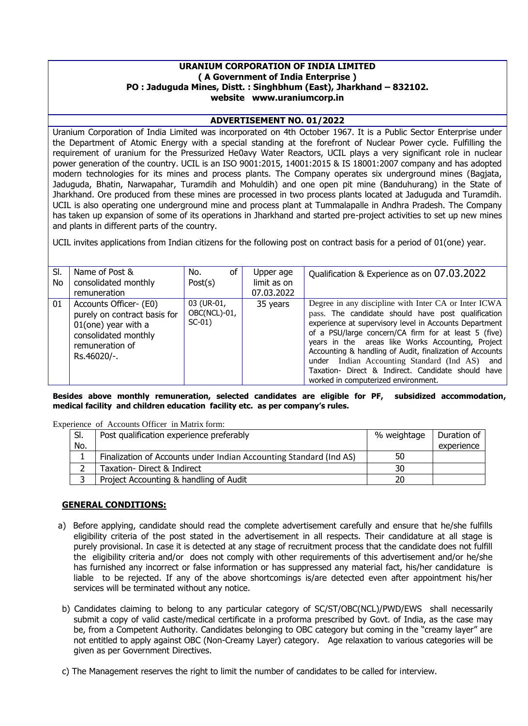### **URANIUM CORPORATION OF INDIA LIMITED ( A Government of India Enterprise ) PO : Jaduguda Mines, Distt. : Singhbhum (East), Jharkhand – 832102. website www.uraniumcorp.in**

### **ADVERTISEMENT NO. 01/2022**

Uranium Corporation of India Limited was incorporated on 4th October 1967. It is a Public Sector Enterprise under the Department of Atomic Energy with a special standing at the forefront of Nuclear Power cycle. Fulfilling the requirement of uranium for the Pressurized He0avy Water Reactors, UCIL plays a very significant role in nuclear power generation of the country. UCIL is an ISO 9001:2015, 14001:2015 & IS 18001:2007 company and has adopted modern technologies for its mines and process plants. The Company operates six underground mines (Bagjata, Jaduguda, Bhatin, Narwapahar, Turamdih and Mohuldih) and one open pit mine (Banduhurang) in the State of Jharkhand. Ore produced from these mines are processed in two process plants located at Jaduguda and Turamdih. UCIL is also operating one underground mine and process plant at Tummalapalle in Andhra Pradesh. The Company has taken up expansion of some of its operations in Jharkhand and started pre-project activities to set up new mines and plants in different parts of the country.

UCIL invites applications from Indian citizens for the following post on contract basis for a period of 01(one) year.

| SI.<br>No | Name of Post &<br>consolidated monthly                                                                                                     | οf<br>No.<br>Post(s)                   | Upper age<br>limit as on | Qualification & Experience as on 07.03.2022                                                                                                                                                                                                                                                                                                                                                                                                                                                 |
|-----------|--------------------------------------------------------------------------------------------------------------------------------------------|----------------------------------------|--------------------------|---------------------------------------------------------------------------------------------------------------------------------------------------------------------------------------------------------------------------------------------------------------------------------------------------------------------------------------------------------------------------------------------------------------------------------------------------------------------------------------------|
|           | remuneration                                                                                                                               |                                        | 07.03.2022               |                                                                                                                                                                                                                                                                                                                                                                                                                                                                                             |
| 01        | Accounts Officer- (E0)<br>purely on contract basis for<br>$01$ (one) year with a<br>consolidated monthly<br>remuneration of<br>Rs.46020/-. | 03 (UR-01,<br>OBC(NCL)-01,<br>$SC-01)$ | 35 years                 | Degree in any discipline with Inter CA or Inter ICWA<br>pass. The candidate should have post qualification<br>experience at supervisory level in Accounts Department<br>of a PSU/large concern/CA firm for at least 5 (five)<br>years in the areas like Works Accounting, Project<br>Accounting & handling of Audit, finalization of Accounts<br>under Indian Accounting Standard (Ind AS) and<br>Taxation- Direct & Indirect. Candidate should have<br>worked in computerized environment. |

**Besides above monthly remuneration, selected candidates are eligible for PF, subsidized accommodation, medical facility and children education facility etc. as per company's rules.**

Experience of Accounts Officer in Matrix form:

| SI. | Post qualification experience preferably                           | % weightage | Duration of |
|-----|--------------------------------------------------------------------|-------------|-------------|
| No. |                                                                    |             | experience  |
|     | Finalization of Accounts under Indian Accounting Standard (Ind AS) | 50          |             |
|     | Taxation- Direct & Indirect                                        | 30          |             |
|     | Project Accounting & handling of Audit                             | 20          |             |

### **GENERAL CONDITIONS:**

- a) Before applying, candidate should read the complete advertisement carefully and ensure that he/she fulfills eligibility criteria of the post stated in the advertisement in all respects. Their candidature at all stage is purely provisional. In case it is detected at any stage of recruitment process that the candidate does not fulfill the eligibility criteria and/or does not comply with other requirements of this advertisement and/or he/she has furnished any incorrect or false information or has suppressed any material fact, his/her candidature is liable to be rejected. If any of the above shortcomings is/are detected even after appointment his/her services will be terminated without any notice.
- b) Candidates claiming to belong to any particular category of SC/ST/OBC(NCL)/PWD/EWS shall necessarily submit a copy of valid caste/medical certificate in a proforma prescribed by Govt. of India, as the case may be, from a Competent Authority. Candidates belonging to OBC category but coming in the "creamy layer" are not entitled to apply against OBC (Non-Creamy Layer) category. Age relaxation to various categories will be given as per Government Directives.

c) The Management reserves the right to limit the number of candidates to be called for interview.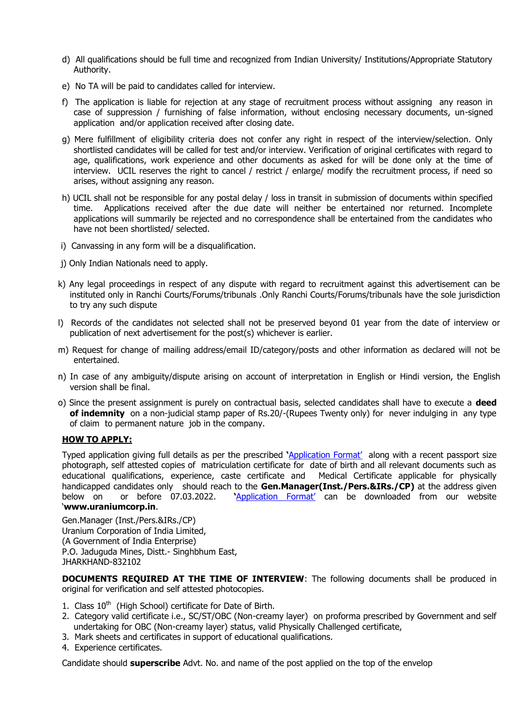- d) All qualifications should be full time and recognized from Indian University/ Institutions/Appropriate Statutory Authority.
- e) No TA will be paid to candidates called for interview.
- f) The application is liable for rejection at any stage of recruitment process without assigning any reason in case of suppression / furnishing of false information, without enclosing necessary documents, un-signed application and/or application received after closing date.
- g) Mere fulfillment of eligibility criteria does not confer any right in respect of the interview/selection. Only shortlisted candidates will be called for test and/or interview. Verification of original certificates with regard to age, qualifications, work experience and other documents as asked for will be done only at the time of interview. UCIL reserves the right to cancel / restrict / enlarge/ modify the recruitment process, if need so arises, without assigning any reason.
- h) UCIL shall not be responsible for any postal delay / loss in transit in submission of documents within specified time. Applications received after the due date will neither be entertained nor returned. Incomplete applications will summarily be rejected and no correspondence shall be entertained from the candidates who have not been shortlisted/ selected.
- i) Canvassing in any form will be a disqualification.
- j) Only Indian Nationals need to apply.
- k) Any legal proceedings in respect of any dispute with regard to recruitment against this advertisement can be instituted only in Ranchi Courts/Forums/tribunals .Only Ranchi Courts/Forums/tribunals have the sole jurisdiction to try any such dispute
- l) Records of the candidates not selected shall not be preserved beyond 01 year from the date of interview or publication of next advertisement for the post(s) whichever is earlier.
- m) Request for change of mailing address/email ID/category/posts and other information as declared will not be entertained.
- n) In case of any ambiguity/dispute arising on account of interpretation in English or Hindi version, the English version shall be final.
- o) Since the present assignment is purely on contractual basis, selected candidates shall have to execute a **deed of indemnity** on a non-judicial stamp paper of Rs.20/-(Rupees Twenty only) for never indulging in any type of claim to permanent nature job in the company.

### **HOW TO APPLY:**

Typed application giving full details as per the prescribed **'**[Application Format'](../../../Desktop/Application%20format.doc) along with a recent passport size photograph, self attested copies of matriculation certificate for date of birth and all relevant documents such as educational qualifications, experience, caste certificate and Medical Certificate applicable for physically handicapped candidates only should reach to the **Gen.Manager(Inst./Pers.&IRs./CP)** at the address given below on or before 07.03.2022. **'**[Application Format'](../../../Desktop/Application%20format.doc) can be downloaded from our website '**www.uraniumcorp.in**.

Gen.Manager (Inst./Pers.&IRs./CP) Uranium Corporation of India Limited, (A Government of India Enterprise) P.O. Jaduguda Mines, Distt.- Singhbhum East, JHARKHAND-832102

**DOCUMENTS REQUIRED AT THE TIME OF INTERVIEW**: The following documents shall be produced in original for verification and self attested photocopies.

- 1. Class  $10^{th}$  (High School) certificate for Date of Birth.
- 2. Category valid certificate i.e., SC/ST/OBC (Non-creamy layer) on proforma prescribed by Government and self undertaking for OBC (Non-creamy layer) status, valid Physically Challenged certificate,
- 3. Mark sheets and certificates in support of educational qualifications.
- 4. Experience certificates.

Candidate should **superscribe** Advt. No. and name of the post applied on the top of the envelop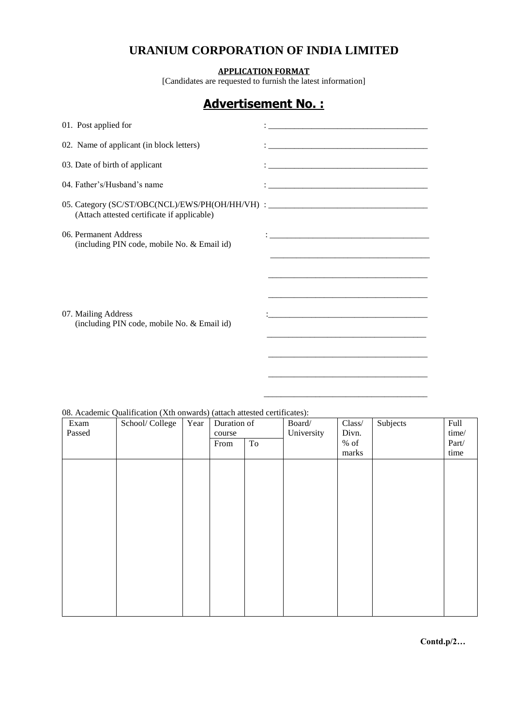## **URANIUM CORPORATION OF INDIA LIMITED**

**APPLICATION FORMAT**

[Candidates are requested to furnish the latest information]

# **Advertisement No. :**

| 01. Post applied for                                                                                                            |                                                                                                                                                                                                                                         |
|---------------------------------------------------------------------------------------------------------------------------------|-----------------------------------------------------------------------------------------------------------------------------------------------------------------------------------------------------------------------------------------|
| 02. Name of applicant (in block letters)                                                                                        |                                                                                                                                                                                                                                         |
| 03. Date of birth of applicant                                                                                                  |                                                                                                                                                                                                                                         |
| 04. Father's/Husband's name                                                                                                     |                                                                                                                                                                                                                                         |
| 05. Category (SC/ST/OBC(NCL)/EWS/PH(OH/HH/VH) : ________________________________<br>(Attach attested certificate if applicable) |                                                                                                                                                                                                                                         |
| 06. Permanent Address<br>(including PIN code, mobile No. & Email id)                                                            |                                                                                                                                                                                                                                         |
| 07. Mailing Address<br>(including PIN code, mobile No. & Email id)                                                              | and the state of the state of the state of the state of the state of the state of the state of the state of the<br><u> 1989 - Jan James James James James James James James James James James James James James James James James J</u> |

### 08. Academic Qualification (Xth onwards) (attach attested certificates):

| Exam   | School/College | Year | Duration of |    | Board/     | Class/ | Subjects | Full  |
|--------|----------------|------|-------------|----|------------|--------|----------|-------|
| Passed |                |      | course      |    | University | Divn.  |          | time/ |
|        |                |      | From        | To |            | $%$ of |          | Part/ |
|        |                |      |             |    |            | marks  |          | time  |
|        |                |      |             |    |            |        |          |       |
|        |                |      |             |    |            |        |          |       |
|        |                |      |             |    |            |        |          |       |
|        |                |      |             |    |            |        |          |       |
|        |                |      |             |    |            |        |          |       |
|        |                |      |             |    |            |        |          |       |
|        |                |      |             |    |            |        |          |       |
|        |                |      |             |    |            |        |          |       |
|        |                |      |             |    |            |        |          |       |
|        |                |      |             |    |            |        |          |       |
|        |                |      |             |    |            |        |          |       |
|        |                |      |             |    |            |        |          |       |
|        |                |      |             |    |            |        |          |       |
|        |                |      |             |    |            |        |          |       |
|        |                |      |             |    |            |        |          |       |
|        |                |      |             |    |            |        |          |       |

\_\_\_\_\_\_\_\_\_\_\_\_\_\_\_\_\_\_\_\_\_\_\_\_\_\_\_\_\_\_\_\_\_\_\_\_\_\_

**Contd.p/2…**